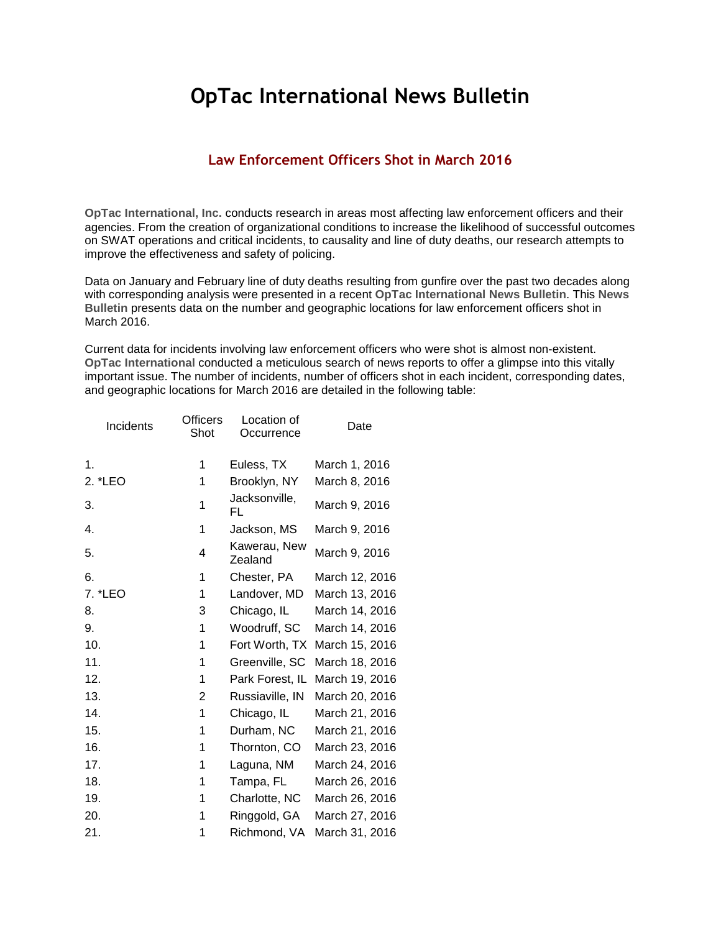## **OpTac International News Bulletin**

## **Law Enforcement Officers Shot in March 2016**

**OpTac International, Inc.** conducts research in areas most affecting law enforcement officers and their agencies. From the creation of organizational conditions to increase the likelihood of successful outcomes on SWAT operations and critical incidents, to causality and line of duty deaths, our research attempts to improve the effectiveness and safety of policing.

Data on January and February line of duty deaths resulting from gunfire over the past two decades along with corresponding analysis were presented in a recent **OpTac International News Bulletin**. This **News Bulletin** presents data on the number and geographic locations for law enforcement officers shot in March 2016.

Current data for incidents involving law enforcement officers who were shot is almost non-existent. **OpTac International** conducted a meticulous search of news reports to offer a glimpse into this vitally important issue. The number of incidents, number of officers shot in each incident, corresponding dates, and geographic locations for March 2016 are detailed in the following table:

| Incidents | <b>Officers</b><br>Shot | Location of<br>Occurrence | Date           |
|-----------|-------------------------|---------------------------|----------------|
| 1.        | 1                       | Euless, TX                | March 1, 2016  |
| 2. *LEO   | 1                       | Brooklyn, NY              | March 8, 2016  |
| 3.        | 1                       | Jacksonville,<br>FL       | March 9, 2016  |
| 4.        | 1                       | Jackson, MS               | March 9, 2016  |
| 5.        | 4                       | Kawerau, New<br>Zealand   | March 9, 2016  |
| 6.        | 1                       | Chester, PA               | March 12, 2016 |
| 7. *LEO   | 1                       | Landover, MD              | March 13, 2016 |
| 8.        | 3                       | Chicago, IL               | March 14, 2016 |
| 9.        | 1                       | Woodruff, SC              | March 14, 2016 |
| 10.       | 1                       | Fort Worth, TX            | March 15, 2016 |
| 11.       | 1                       | Greenville, SC            | March 18, 2016 |
| 12.       | 1                       | Park Forest, IL           | March 19, 2016 |
| 13.       | 2                       | Russiaville, IN           | March 20, 2016 |
| 14.       | 1                       | Chicago, IL               | March 21, 2016 |
| 15.       | 1                       | Durham, NC                | March 21, 2016 |
| 16.       | 1                       | Thornton, CO              | March 23, 2016 |
| 17.       | 1                       | Laguna, NM                | March 24, 2016 |
| 18.       | 1                       | Tampa, FL                 | March 26, 2016 |
| 19.       | 1                       | Charlotte, NC             | March 26, 2016 |
| 20.       | 1                       | Ringgold, GA              | March 27, 2016 |
| 21.       | 1                       | Richmond, VA              | March 31, 2016 |